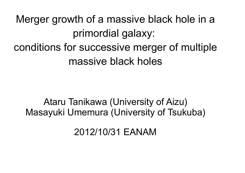Merger growth of a massive black hole in a primordial galaxy: conditions for successive merger of multiple massive black holes

Ataru Tanikawa (University of Aizu) Masayuki Umemura (University of Tsukuba)

2012/10/31 EANAM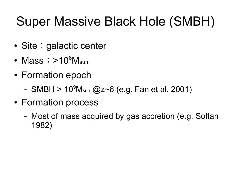# Super Massive Black Hole (SMBH)

- Site : galactic center
- Mass:  $>10^6$ Msun
- Formation epoch
	- $-$  SMBH > 10 $^9$ M<sub>sun</sub> @z~6 (e.g. Fan et al. 2001)
- Formation process
	- Most of mass acquired by gas accretion (e.g. Soltan 1982)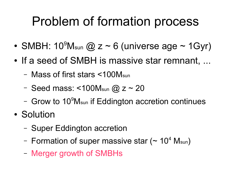### Problem of formation process

- SMBH:  $10^9$ M<sub>sun</sub> @ z ~ 6 (universe age ~ 1Gyr)
- If a seed of SMBH is massive star remnant, ...
	- Mass of first stars <100Msun
	- Seed mass: <100 $M_{sun}$  @ z ~ 20
	- Grow to 10<sup>9</sup>M<sub>sun</sub> if Eddington accretion continues
- Solution
	- Super Eddington accretion
	- Formation of super massive star (~ 10<sup>4</sup> M<sub>sun</sub>)
	- Merger growth of SMBHs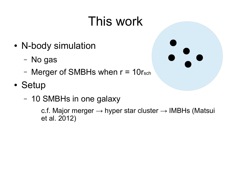# This work

- N-body simulation
	- No gas
	- Merger of SMBHs when  $r = 10r<sub>sch</sub>$

#### • Setup

– 10 SMBHs in one galaxy

c.f. Major merger  $\rightarrow$  hyper star cluster  $\rightarrow$  IMBHs (Matsui et al. 2012)

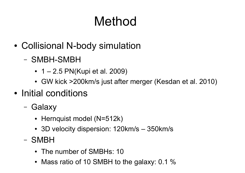# Method

- Collisional N-body simulation
	- SMBH-SMBH
		- $1 2.5$  PN(Kupi et al. 2009)
		- GW kick >200 km/s just after merger (Kesdan et al. 2010)
- Initial conditions
	- Galaxy
		- Hernquist model (N=512k)
		- 3D velocity dispersion: 120km/s 350km/s
	- SMBH
		- The number of SMBHs: 10
		- Mass ratio of 10 SMBH to the galaxy: 0.1  $%$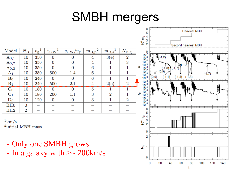### SMBH mergers

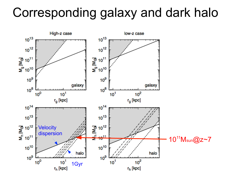#### Corresponding galaxy and dark halo

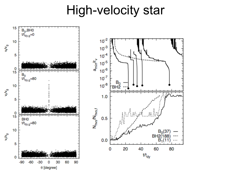#### High-velocity star